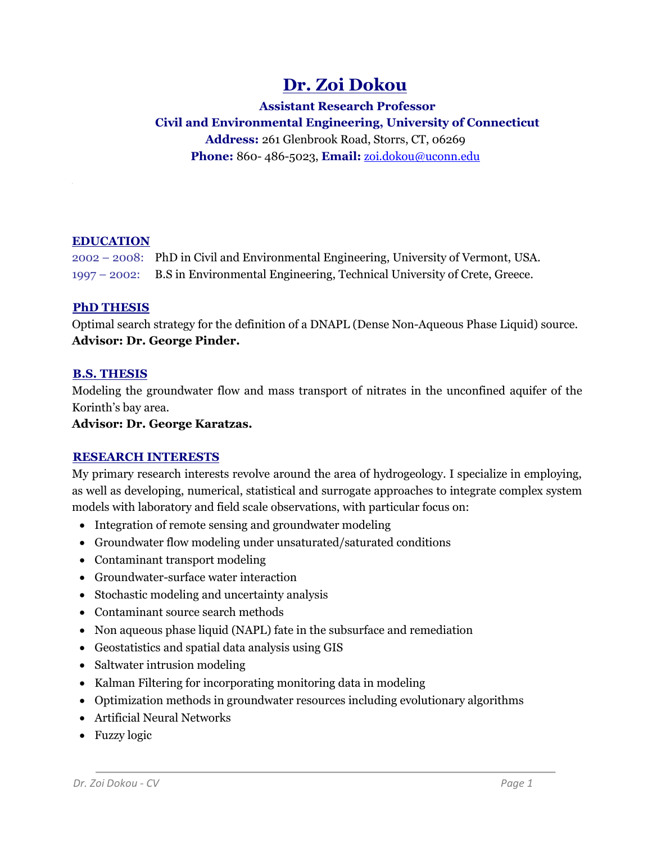# **Dr. Zoi Dokou**

**Assistant Research Professor Civil and Environmental Engineering, University of Connecticut**

**Address:** 261 Glenbrook Road, Storrs, CT, 06269 **Phone:** 860- 486-5023, **Email:** [zoi.dokou@uconn.edu](mailto:zoi.dokou@enveng.tuc.gr)

## **EDUCATION**

2002 – 2008: PhD in Civil and Environmental Engineering, University of Vermont, USA. 1997 – 2002: B.S in Environmental Engineering, Technical University of Crete, Greece.

## <sup>U</sup>**PhD THESIS**

Optimal search strategy for the definition of a DNAPL (Dense Non-Aqueous Phase Liquid) source. **Advisor: Dr. George Pinder.**

## <sup>U</sup>**B.S. THESIS**

Modeling the groundwater flow and mass transport of nitrates in the unconfined aquifer of the Korinth's bay area.

**Advisor: Dr. George Karatzas.**

## <sup>U</sup>**RESEARCH INTERESTS**

My primary research interests revolve around the area of hydrogeology. I specialize in employing, as well as developing, numerical, statistical and surrogate approaches to integrate complex system models with laboratory and field scale observations, with particular focus on:

- Integration of remote sensing and groundwater modeling
- Groundwater flow modeling under unsaturated/saturated conditions
- Contaminant transport modeling
- Groundwater-surface water interaction
- Stochastic modeling and uncertainty analysis
- Contaminant source search methods
- Non aqueous phase liquid (NAPL) fate in the subsurface and remediation
- Geostatistics and spatial data analysis using GIS
- Saltwater intrusion modeling
- Kalman Filtering for incorporating monitoring data in modeling
- Optimization methods in groundwater resources including evolutionary algorithms
- Artificial Neural Networks
- Fuzzy logic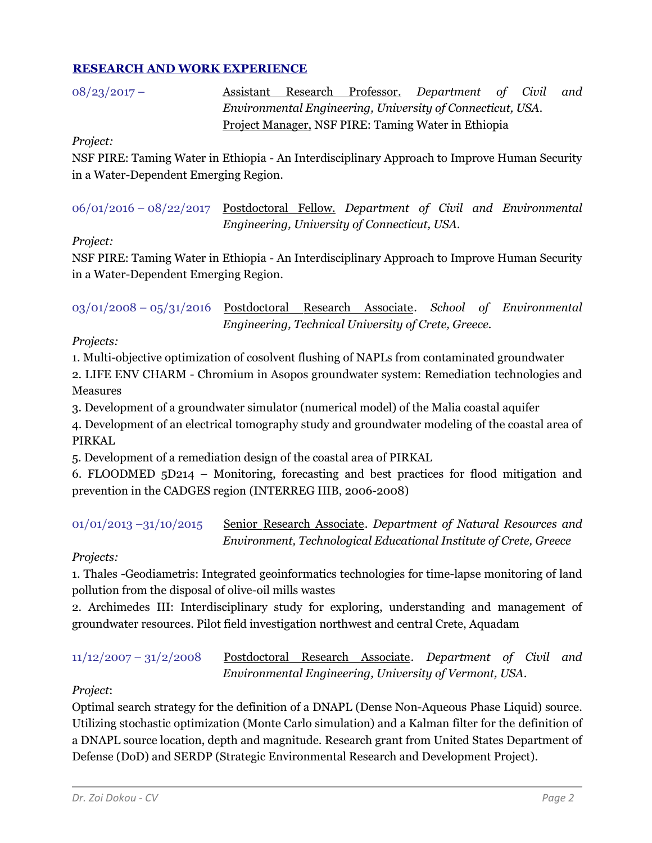## <sup>U</sup>**RESEARCH AND WORK EXPERIENCE**

| $08/23/2017 -$ |  | Assistant Research Professor. Department of Civil          |  | and |
|----------------|--|------------------------------------------------------------|--|-----|
|                |  | Environmental Engineering, University of Connecticut, USA. |  |     |
|                |  | Project Manager, NSF PIRE: Taming Water in Ethiopia        |  |     |

#### *Project:*

NSF PIRE: Taming Water in Ethiopia - An Interdisciplinary Approach to Improve Human Security in a Water-Dependent Emerging Region.

06/01/2016 – 08/22/2017 Postdoctoral Fellow. *Department of Civil and Environmental Engineering, University of Connecticut, USA.*

## *Project:*

NSF PIRE: Taming Water in Ethiopia - An Interdisciplinary Approach to Improve Human Security in a Water-Dependent Emerging Region.

03/01/2008 – 05/31/2016 Postdoctoral Research Associate. School of Environmental *Engineering, Technical University of Crete, Greece.*

*Projects:*

1. Multi-objective optimization of cosolvent flushing of NAPLs from contaminated groundwater

2. LIFE ENV CHARM - Chromium in Asopos groundwater system: Remediation technologies and Measures

3. Development of a groundwater simulator (numerical model) of the Malia coastal aquifer

4. Development of an electrical tomography study and groundwater modeling of the coastal area of PIRKAL

5. Development of a remediation design of the coastal area of PIRKAL

6. FLOODMED 5D214 – Monitoring, forecasting and best practices for flood mitigation and prevention in the CADGES region (INTERREG IIIB, 2006-2008)

01/01/2013 -31/10/2015 Senior Research Associate. *Department of Natural Resources and Environment, Technological Educational Institute of Crete, Greece*

## *Projects:*

1. Thales -Geodiametris: Integrated geoinformatics technologies for time-lapse monitoring of land pollution from the disposal of olive-oil mills wastes

2. Archimedes III: Interdisciplinary study for exploring, understanding and management of groundwater resources. Pilot field investigation northwest and central Crete, Aquadam

11/12/2007 – 31/2/2008 <sup>U</sup>Postdoctoral Research AssociateU*. Department of Civil and Environmental Engineering, University of Vermont, USA*.

## *Project*:

Optimal search strategy for the definition of a DNAPL (Dense Non-Aqueous Phase Liquid) source. Utilizing stochastic optimization (Monte Carlo simulation) and a Kalman filter for the definition of a DNAPL source location, depth and magnitude. Research grant from United States Department of Defense (DoD) and SERDP (Strategic Environmental Research and Development Project).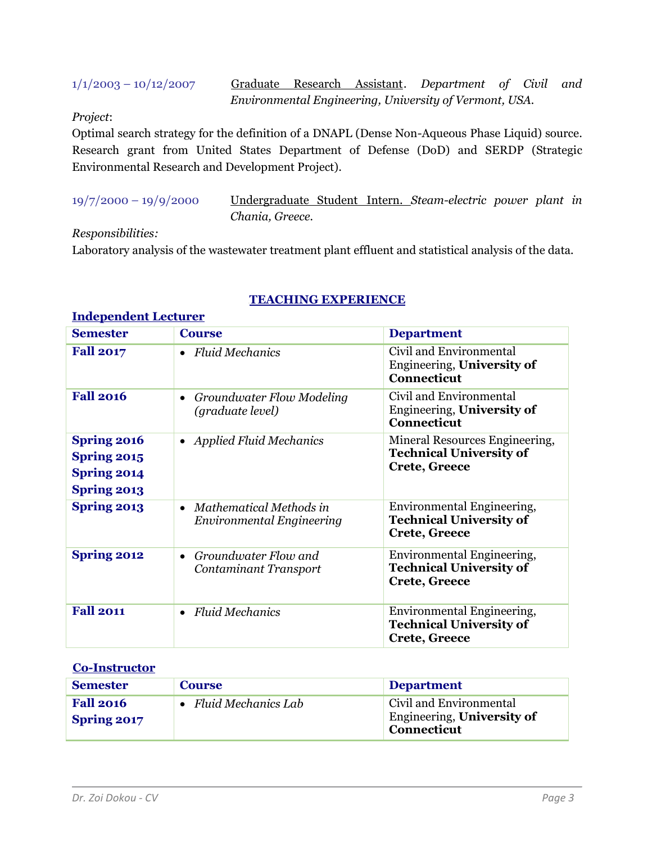1/1/2003 – 10/12/2007 Graduate Research Assistant. Department of Civil and *Environmental Engineering, University of Vermont, USA.*

## *Project*:

Optimal search strategy for the definition of a DNAPL (Dense Non-Aqueous Phase Liquid) source. Research grant from United States Department of Defense (DoD) and SERDP (Strategic Environmental Research and Development Project).

**Independent Lecturer**

19/7/2000 – 19/9/2000 Undergraduate Student UIntern. *Steam-electric power plant in Chania, Greece.* 

#### *Responsibilities:*

Laboratory analysis of the wastewater treatment plant effluent and statistical analysis of the data*.*

| <u> Antico pomatem accetar en </u>                                            |                                                                   |                                                                                          |  |  |
|-------------------------------------------------------------------------------|-------------------------------------------------------------------|------------------------------------------------------------------------------------------|--|--|
| <b>Semester</b>                                                               | <b>Course</b>                                                     | <b>Department</b>                                                                        |  |  |
| <b>Fall 2017</b>                                                              | <b>Fluid Mechanics</b><br>$\bullet$                               | Civil and Environmental<br>Engineering, University of<br><b>Connecticut</b>              |  |  |
| <b>Fall 2016</b>                                                              | Groundwater Flow Modeling<br>$\bullet$<br>(graduate level)        | Civil and Environmental<br>Engineering, University of<br><b>Connecticut</b>              |  |  |
| <b>Spring 2016</b><br>Spring 2015<br><b>Spring 2014</b><br><b>Spring 2013</b> | <b>Applied Fluid Mechanics</b><br>$\bullet$                       | Mineral Resources Engineering,<br><b>Technical University of</b><br><b>Crete, Greece</b> |  |  |
| <b>Spring 2013</b>                                                            | Mathematical Methods in<br>$\bullet$<br>Environmental Engineering | Environmental Engineering,<br><b>Technical University of</b><br>Crete, Greece            |  |  |
| <b>Spring 2012</b>                                                            | Groundwater Flow and<br>$\bullet$<br>Contaminant Transport        | Environmental Engineering,<br><b>Technical University of</b><br><b>Crete, Greece</b>     |  |  |
| <b>Fall 2011</b>                                                              | <b>Fluid Mechanics</b><br>$\bullet$                               | Environmental Engineering,<br><b>Technical University of</b><br><b>Crete, Greece</b>     |  |  |

## <sup>U</sup>**TEACHING EXPERIENCE**

#### <sup>U</sup>**Co-Instructor**

| <b>Semester</b>                 | <b>Course</b>         | <b>Department</b>                                                           |
|---------------------------------|-----------------------|-----------------------------------------------------------------------------|
| <b>Fall 2016</b><br>Spring 2017 | • Fluid Mechanics Lab | Civil and Environmental<br>Engineering, University of<br><b>Connecticut</b> |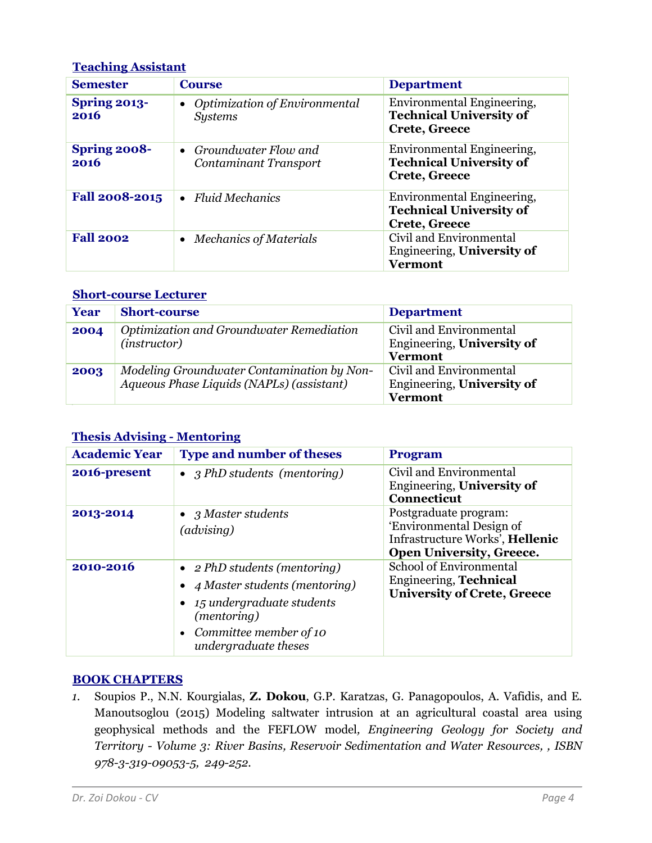## <sup>U</sup>**Teaching Assistant**

| <b>Semester</b>      | <b>Course</b>                                                       | <b>Department</b>                                                                    |
|----------------------|---------------------------------------------------------------------|--------------------------------------------------------------------------------------|
| Spring 2013-<br>2016 | <b>Optimization of Environmental</b><br>$\bullet$<br><b>Systems</b> | Environmental Engineering,<br><b>Technical University of</b><br>Crete, Greece        |
| Spring 2008-<br>2016 | • Groundwater Flow and<br>Contaminant Transport                     | Environmental Engineering,<br><b>Technical University of</b><br><b>Crete, Greece</b> |
| Fall 2008-2015       | $\bullet$ Fluid Mechanics                                           | Environmental Engineering,<br><b>Technical University of</b><br><b>Crete, Greece</b> |
| <b>Fall 2002</b>     | Mechanics of Materials<br>$\bullet$                                 | Civil and Environmental<br>Engineering, University of<br><b>Vermont</b>              |

## **Short-course Lecturer**

| Year | <b>Short-course</b>                                                                     | <b>Department</b>                                                       |
|------|-----------------------------------------------------------------------------------------|-------------------------------------------------------------------------|
| 2004 | Optimization and Groundwater Remediation<br>( <i>instructor</i> )                       | Civil and Environmental<br>Engineering, University of<br><b>Vermont</b> |
| 2003 | Modeling Groundwater Contamination by Non-<br>Aqueous Phase Liquids (NAPLs) (assistant) | Civil and Environmental<br>Engineering, University of<br><b>Vermont</b> |

# **Thesis Advising - Mentoring**

| <b>Academic Year</b> | <b>Type and number of theses</b>                                                                                                                                              | <b>Program</b>                                                                                                          |
|----------------------|-------------------------------------------------------------------------------------------------------------------------------------------------------------------------------|-------------------------------------------------------------------------------------------------------------------------|
| 2016-present         | • 3 PhD students (mentoring)                                                                                                                                                  | Civil and Environmental<br>Engineering, University of<br><b>Connecticut</b>                                             |
| 2013-2014            | • $3$ Master students<br>(advising)                                                                                                                                           | Postgraduate program:<br>'Environmental Design of<br>Infrastructure Works', Hellenic<br><b>Open University, Greece.</b> |
| 2010-2016            | • $2 PhD students (mentioned)$<br>• 4 Master students (mentoring)<br>$\bullet$ 15 undergraduate students<br>(mentoring)<br>• Committee member of $10$<br>undergraduate theses | <b>School of Environmental</b><br><b>Engineering, Technical</b><br><b>University of Crete, Greece</b>                   |

## <sup>B</sup>**BOOK CHAPTERS**

*1.* Soupios P., N.N. Kourgialas, **Z. Dokou**, G.P. Karatzas, G. Panagopoulos, A. Vafidis, and E. Manoutsoglou (2015) Modeling saltwater intrusion at an agricultural coastal area using geophysical methods and the FEFLOW model*, Engineering Geology for Society and Territory - Volume 3: River Basins, Reservoir Sedimentation and Water Resources, , ISBN 978-3-319-09053-5, 249-252.*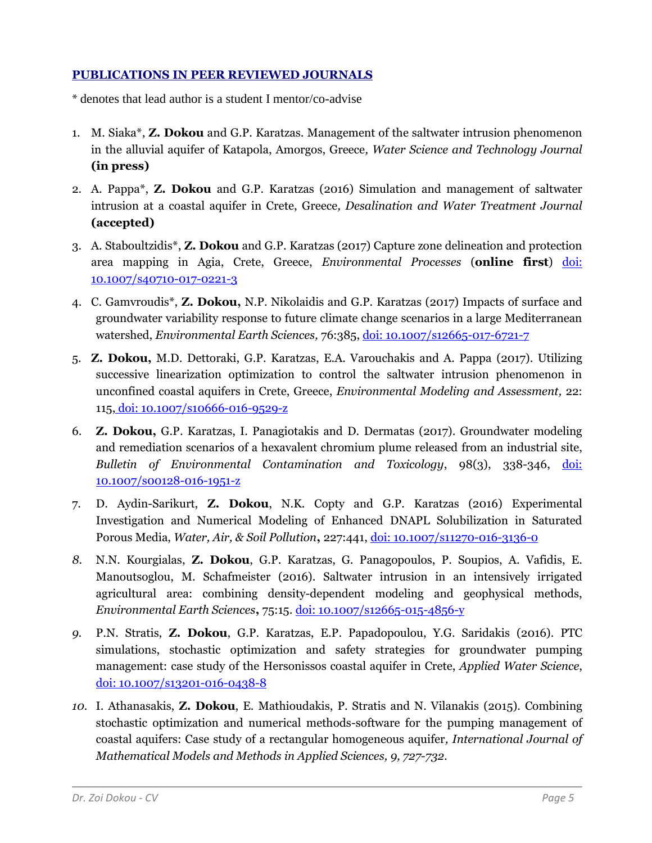## **PUBLICATIONS IN PEER REVIEWED JOURNALS**

\* denotes that lead author is a student I mentor/co-advise

- 1. M. Siaka\*, **Z. Dokou** and G.P. Karatzas. Management of the saltwater intrusion phenomenon in the alluvial aquifer of Katapola, Amorgos, Greece*, Water Science and Technology Journal*  **(in press)**
- 2. A. Pappa\*, **Z. Dokou** and G.P. Karatzas (2016) Simulation and management of saltwater intrusion at a coastal aquifer in Crete, Greece*, Desalination and Water Treatment Journal* **(accepted)**
- 3. A. Staboultzidis\*, **Z. Dokou** and G.P. Karatzas (2017) Capture zone delineation and protection area mapping in Agia, Crete, Greece, *Environmental Processes* (**online first**) doi: 10.1007/s40710-017-0221-3
- 4. C. Gamvroudis\*, **Z. Dokou,** N.P. Nikolaidis and G.P. Karatzas (2017) Impacts of surface and groundwater variability response to future climate change scenarios in a large Mediterranean watershed, *Environmental Earth Sciences,* 76:385, doi: 10.1007/s12665-017-6721-7
- 5. **Z. Dokou,** M.D. Dettoraki, G.P. Karatzas, E.A. Varouchakis and A. Pappa (2017). Utilizing successive linearization optimization to control the saltwater intrusion phenomenon in unconfined coastal aquifers in Crete, Greece, *Environmental Modeling and Assessment,* 22: 115, doi: 10.1007/s10666-016-9529-z
- 6. **Z. Dokou,** G.P. Karatzas, I. Panagiotakis and D. Dermatas (2017). Groundwater modeling and remediation scenarios of a hexavalent chromium plume released from an industrial site, *Bulletin of Environmental Contamination and Toxicology*, 98(3), 338-346, doi: 10.1007/s00128-016-1951-z
- 7. D. Aydin-Sarikurt, **Z. Dokou**, N.K. Copty and G.P. Karatzas (2016) Experimental Investigation and Numerical Modeling of Enhanced DNAPL Solubilization in Saturated Porous Media, *Water, Air, & Soil Pollution***,** 227:441, doi: 10.1007/s11270-016-3136-0
- *8.* N.N. Kourgialas, **Z. Dokou**, G.P. Karatzas, G. Panagopoulos, P. Soupios, A. Vafidis, E. Manoutsoglou, M. Schafmeister (2016). Saltwater intrusion in an intensively irrigated agricultural area: combining density-dependent modeling and geophysical methods, *Environmental Earth Sciences***,** 75:15. doi: 10.1007/s12665-015-4856-y
- *9.* P.N. Stratis, **Z. Dokou**, G.P. Karatzas, E.P. Papadopoulou, Y.G. Saridakis (2016). PTC simulations, stochastic optimization and safety strategies for groundwater pumping management: case study of the Hersonissos coastal aquifer in Crete, *Applied Water Science*, doi: 10.1007/s13201-016-0438-8
- *10.* I. Athanasakis, **Z. Dokou**, E. Mathioudakis, P. Stratis and N. Vilanakis (2015). Combining stochastic optimization and numerical methods-software for the pumping management of coastal aquifers: Case study of a rectangular homogeneous aquifer*, International Journal of Mathematical Models and Methods in Applied Sciences, 9, 727-732.*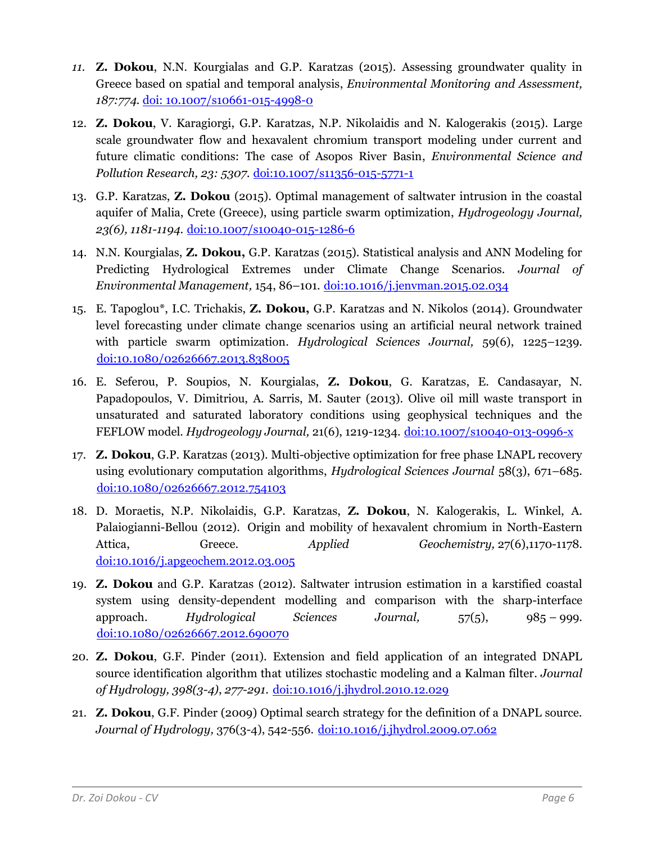- *11.* **Z. Dokou**, N.N. Kourgialas and G.P. Karatzas (2015). Assessing groundwater quality in Greece based on spatial and temporal analysis, *Environmental Monitoring and Assessment, 187:774.* doi: 10.1007/s10661-015-4998-0
- 12. **Z. Dokou**, V. Karagiorgi, G.P. Karatzas, N.P. Nikolaidis and N. Kalogerakis (2015). Large scale groundwater flow and hexavalent chromium transport modeling under current and future climatic conditions: The case of Asopos River Basin, *Environmental Science and Pollution Research, 23: 5307.* doi:10.1007/s11356-015-5771-1
- 13. G.P. Karatzas, **Z. Dokou** (2015). Optimal management of saltwater intrusion in the coastal aquifer of Malia, Crete (Greece), using particle swarm optimization, *Hydrogeology Journal,*  23(6), 1181-1194. <u>doi:10.1007/s10040-015-1286-6</u>
- 14. N.N. Kourgialas, **Z. Dokou,** G.P. Karatzas (2015). Statistical analysis and ANN Modeling for Predicting Hydrological Extremes under Climate Change Scenarios. *Journal of Environmental Management,* 154, 86–101. <sup>U</sup>doi:10.1016/j.jenvman.2015.02.034
- 15. E. Tapoglou\*, I.C. Trichakis, **Z. Dokou,** G.P. Karatzas and N. Nikolos (2014). Groundwater level forecasting under climate change scenarios using an artificial neural network trained with particle swarm optimization. *Hydrological Sciences Journal,* 59(6), 1225–1239. <sup>U</sup>doi:10.1080/02626667.2013.838005
- 16. E. Seferou, P. Soupios, N. Kourgialas, **Z. Dokou**, G. Karatzas, E. Candasayar, N. Papadopoulos, V. Dimitriou, A. Sarris, M. Sauter (2013). Olive oil mill waste transport in unsaturated and saturated laboratory conditions using geophysical techniques and the FEFLOW model. *Hydrogeology Journal*, 21(6), 1219-1234. doi:10.1007/s10040-013-0996-x
- 17. **Z. Dokou**, G.P. Karatzas (2013). Multi-objective optimization for free phase LNAPL recovery using evolutionary computation algorithms, *Hydrological Sciences Journal* 58(3), 671–685. <sup>U</sup>doi:10.1080/02626667.2012.754103
- 18. D. Moraetis, N.P. Nikolaidis, G.P. Karatzas, **Z. Dokou**, N. Kalogerakis, L. Winkel, A. Palaiogianni-Bellou (2012). Origin and mobility of hexavalent chromium in North-Eastern Attica, Greece. *Applied Geochemistry,* 27(6),1170-1178. doi:10.1016/j.apgeochem.2012.03.005
- 19. **Z. Dokou** and G.P. Karatzas (2012). Saltwater intrusion estimation in a karstified coastal system using density-dependent modelling and comparison with the sharp-interface approach. *Hydrological Sciences Journal,* 57(5), 985 – 999. <sup>U</sup>doi:10.1080/02626667.2012.690070
- 20. **Z. Dokou**, G.F. Pinder (2011). Extension and field application of an integrated DNAPL source identification algorithm that utilizes stochastic modeling and a Kalman filter. *Journal*  of Hydrology, 398(3-4), 277-291. [doi:10.1016/j.jhydrol.2010.12.029](http://dx.doi.org/10.1016/j.jhydrol.2010.12.029)
- 21. **Z. Dokou**, G.F. Pinder (2009) Optimal search strategy for the definition of a DNAPL source. Journal of Hydrology, 376(3-4), 542-556. [doi:10.1016/j.jhydrol.2009.07.062](http://dx.doi.org/10.1016/j.jhydrol.2009.07.062)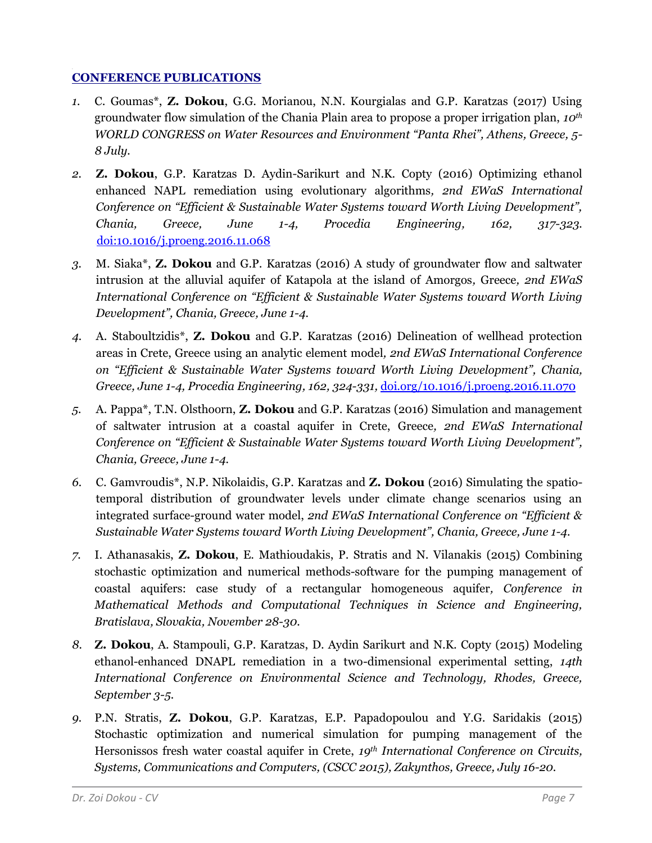## **CONFERENCE PUBLICATIONS**

- *1.* C. Goumas\*, **Z. Dokou**, G.G. Morianou, N.N. Kourgialas and G.P. Karatzas (2017) Using groundwater flow simulation of the Chania Plain area to propose a proper irrigation plan, *10th WORLD CONGRESS on Water Resources and Environment "Panta Rhei", Athens, Greece, 5- 8 July.*
- *2.* **Z. Dokou**, G.P. Karatzas D. Aydin-Sarikurt and N.K. Copty (2016) Optimizing ethanol enhanced NAPL remediation using evolutionary algorithms*, 2nd EWaS International Conference on "Efficient & Sustainable Water Systems toward Worth Living Development", Chania, Greece, June 1-4, Procedia Engineering, 162, 317-323.* <sup>U</sup>doi:10.1016/j.proeng.2016.11.068
- *3.* M. Siaka\*, **Z. Dokou** and G.P. Karatzas (2016) A study of groundwater flow and saltwater intrusion at the alluvial aquifer of Katapola at the island of Amorgos*,* Greece*, 2nd EWaS International Conference on "Efficient & Sustainable Water Systems toward Worth Living Development", Chania, Greece, June 1-4.*
- *4.* A. Staboultzidis\*, **Z. Dokou** and G.P. Karatzas (2016) Delineation of wellhead protection areas in Crete, Greece using an analytic element model*, 2nd EWaS International Conference on "Efficient & Sustainable Water Systems toward Worth Living Development", Chania, Greece, June 1-4, Procedia Engineering, 162, 324-331,* [doi.org/10.1016/j.proeng.2016.11.070](https://doi.org/10.1016/j.proeng.2016.11.070)
- *5.* A. Pappa\*, T.N. Olsthoorn, **Z. Dokou** and G.P. Karatzas (2016) Simulation and management of saltwater intrusion at a coastal aquifer in Crete, Greece*, 2nd EWaS International Conference on "Efficient & Sustainable Water Systems toward Worth Living Development", Chania, Greece, June 1-4.*
- *6.* C. Gamvroudis\*, N.P. Nikolaidis, G.P. Karatzas and **Z. Dokou** (2016) Simulating the spatiotemporal distribution of groundwater levels under climate change scenarios using an integrated surface-ground water model, *2nd EWaS International Conference on "Efficient & Sustainable Water Systems toward Worth Living Development", Chania, Greece, June 1-4.*
- *7.* I. Athanasakis, **Z. Dokou**, E. Mathioudakis, P. Stratis and N. Vilanakis (2015) Combining stochastic optimization and numerical methods-software for the pumping management of coastal aquifers: case study of a rectangular homogeneous aquifer*, Conference in Mathematical Methods and Computational Techniques in Science and Engineering, Bratislava, Slovakia, November 28-30.*
- *8.* **Z. Dokou**, A. Stampouli, G.P. Karatzas, D. Aydin Sarikurt and N.K. Copty (2015) Modeling ethanol-enhanced DNAPL remediation in a two-dimensional experimental setting, *14th International Conference on Environmental Science and Technology, Rhodes, Greece, September 3-5.*
- *9.* P.N. Stratis, **Z. Dokou**, G.P. Karatzas, E.P. Papadopoulou and Y.G. Saridakis (2015) Stochastic optimization and numerical simulation for pumping management of the Hersonissos fresh water coastal aquifer in Crete, *19th International Conference on Circuits, Systems, Communications and Computers, (CSCC 2015), Zakynthos, Greece, July 16-20.*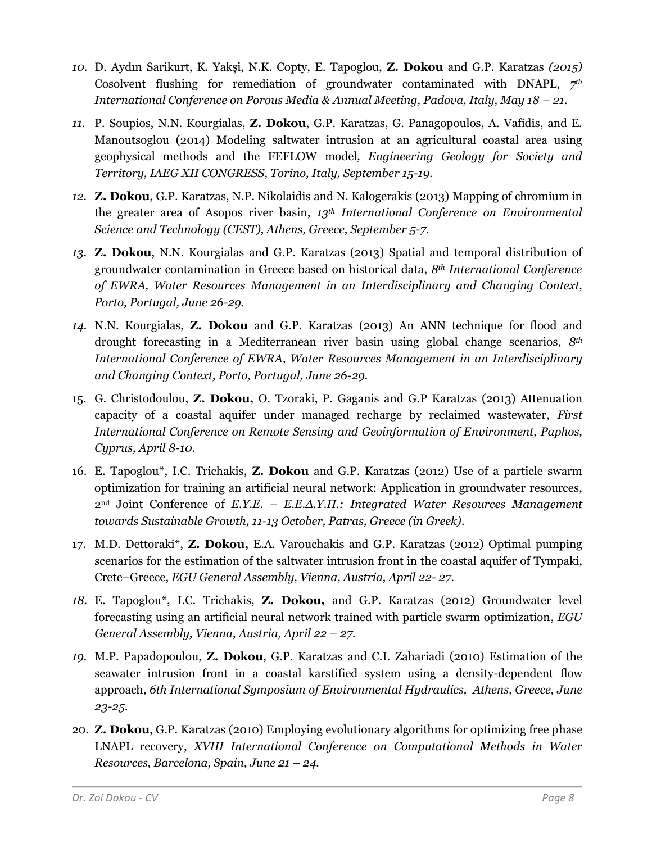- *10.* D. Aydın Sarikurt, K. Yakşi, N.K. Copty, E. Tapoglou, **Z. Dokou** and G.P. Karatzas *(2015)*  Cosolvent flushing for remediation of groundwater contaminated with DNAPL, *7 th International Conference on Porous Media & Annual Meeting, Padova, Italy, May 18 – 21.*
- *11.* P. Soupios, N.N. Kourgialas, **Z. Dokou**, G.P. Karatzas, G. Panagopoulos, A. Vafidis, and E. Manoutsoglou (2014) Modeling saltwater intrusion at an agricultural coastal area using geophysical methods and the FEFLOW model*, Engineering Geology for Society and Territory, IAEG XII CONGRESS, Torinο, Italy, September 15-19.*
- *12.* **Z. Dokou**, G.P. Karatzas, N.P. Nikolaidis and N. Kalogerakis (2013) Mapping of chromium in the greater area of Asopos river basin, *13th International Conference on Environmental Science and Technology (CEST), Athens, Greece, September 5-7.*
- *13.* **Z. Dokou**, N.N. Kourgialas and G.P. Karatzas (2013) Spatial and temporal distribution of groundwater contamination in Greece based on historical data, *8th International Conference of EWRA, Water Resources Management in an Interdisciplinary and Changing Context, Porto, Portugal, June 26-29.*
- *14.* N.N. Kourgialas, **Z. Dokou** and G.P. Karatzas (2013) An ANN technique for flood and drought forecasting in a Mediterranean river basin using global change scenarios, *8th International Conference of EWRA, Water Resources Management in an Interdisciplinary and Changing Context, Porto, Portugal, June 26-29.*
- 15. G. Christodoulou, **Z. Dokou,** O. Tzoraki, P. Gaganis and G.P Karatzas (2013) Attenuation capacity of a coastal aquifer under managed recharge by reclaimed wastewater, *First International Conference on Remote Sensing and Geoinformation of Environment, Paphos, Cyprus, April 8-10.*
- 16. E. Tapoglou\*, I.C. Trichakis, **Z. Dokou** and G.P. Karatzas (2012) Use of a particle swarm optimization for training an artificial neural network: Application in groundwater resources, 2nd Joint Conference of *Ε.Υ.Ε. – Ε.Ε.Δ.Υ.Π.: Integrated Water Resources Management towards Sustainable Growth, 11-13 October, Patras, Greece (in Greek).*
- 17. M.D. Dettoraki\*, **Z. Dokou,** E.A. Varouchakis and G.P. Karatzas (2012) Optimal pumping scenarios for the estimation of the saltwater intrusion front in the coastal aquifer of Tympaki, Crete–Greece, *EGU General Assembly, Vienna, Austria, April 22- 27.*
- *18.* E. Tapoglou\*, I.C. Trichakis, **Z. Dokou,** and G.P. Karatzas (2012) Groundwater level forecasting using an artificial neural network trained with particle swarm optimization, *EGU General Assembly, Vienna, Austria, April 22 – 27.*
- *19.* M.P. Papadopoulou, **Z. Dokou**, G.P. Karatzas and C.I. Zahariadi (2010) Estimation of the seawater intrusion front in a coastal karstified system using a density-dependent flow approach, *6th International Symposium of Environmental Hydraulics, Athens, Greece, June 23-25.*
- 20. **Z. Dokou**, G.P. Karatzas (2010) Employing evolutionary algorithms for optimizing free phase LNAPL recovery, *XVIII International Conference on Computational Methods in Water Resources, Barcelona, Spain, June 21 – 24.*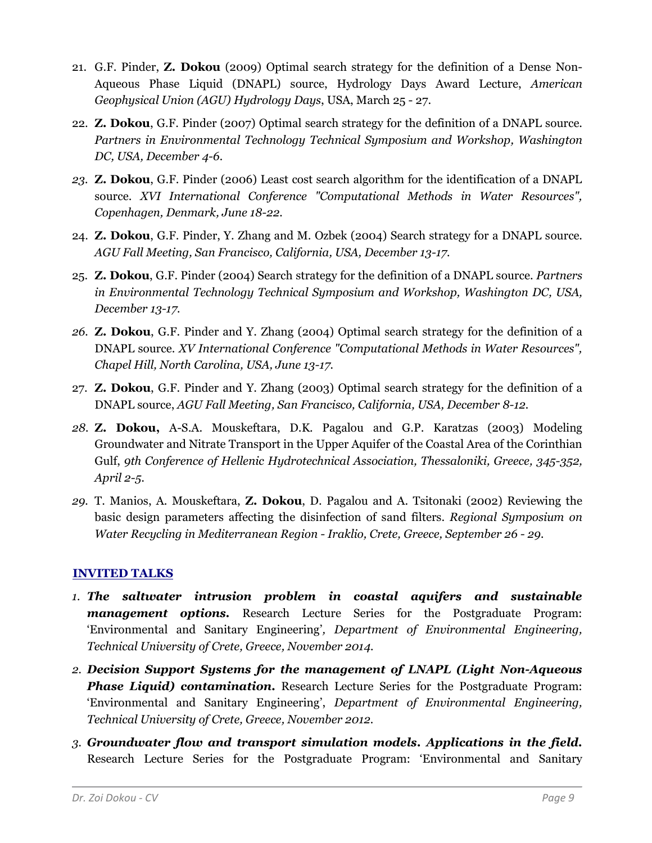- 21. G.F. Pinder, **Z. Dokou** (2009) Optimal search strategy for the definition of a Dense Non-Aqueous Phase Liquid (DNAPL) source, Hydrology Days Award Lecture, *American Geophysical Union (AGU) Hydrology Days*, USA, March 25 - 27.
- 22. **Z. Dokou**, G.F. Pinder (2007) Optimal search strategy for the definition of a DNAPL source. *Partners in Environmental Technology Technical Symposium and Workshop, Washington DC, USA, December 4-6.*
- *23.* **Z. Dokou**, G.F. Pinder (2006) Least cost search algorithm for the identification of a DNAPL source. *XVI International Conference "Computational Methods in Water Resources", Copenhagen, Denmark, June 18-22.*
- 24. **Z. Dokou**, G.F. Pinder, Y. Zhang and M. Ozbek (2004) Search strategy for a DNAPL source. *AGU Fall Meeting, San Francisco, California, USA, December 13-17.*
- 25. **Z. Dokou**, G.F. Pinder (2004) Search strategy for the definition of a DNAPL source. *Partners in Environmental Technology Technical Symposium and Workshop, Washington DC, USA, December 13-17.*
- *26.* **Z. Dokou**, G.F. Pinder and Y. Zhang (2004) Optimal search strategy for the definition of a DNAPL source. *XV International Conference "Computational Methods in Water Resources", Chapel Hill, North Carolina, USA, June 13-17.*
- 27. **Z. Dokou**, G.F. Pinder and Y. Zhang (2003) Optimal search strategy for the definition of a DNAPL source, *AGU Fall Meeting, San Francisco, California, USA, December 8-12.*
- *28.* **Ζ. Dokou,** A-S.A. Mouskeftara, D.K. Pagalou and G.P. Karatzas (2003) Modeling Groundwater and Nitrate Transport in the Upper Aquifer of the Coastal Area of the Corinthian Gulf, *9th Conference of Hellenic Hydrotechnical Association, Thessaloniki, Greece, 345-352, April 2-5.*
- *29.* T. Manios, A. Mouskeftara, **Z. Dokou**, D. Pagalou and A. Tsitonaki (2002) Reviewing the basic design parameters affecting the disinfection of sand filters. *Regional Symposium on Water Recycling in Mediterranean Region - Iraklio, Crete, Greece, September 26 - 29.*

# <sup>U</sup>**INVITED TALKS**

- *1. The saltwater intrusion problem in coastal aquifers and sustainable management options.* Research Lecture Series for the Postgraduate Program: 'Environmental and Sanitary Engineering'*, Department of Environmental Engineering, Technical University of Crete, Greece, November 2014.*
- *2. Decision Support Systems for the management of LNAPL (Light Non-Aqueous Phase Liquid) contamination.* Research Lecture Series for the Postgraduate Program: 'Environmental and Sanitary Engineering', *Department of Environmental Engineering, Technical University of Crete, Greece, November 2012.*
- *3. Groundwater flow and transport simulation models. Applications in the field.* Research Lecture Series for the Postgraduate Program: 'Environmental and Sanitary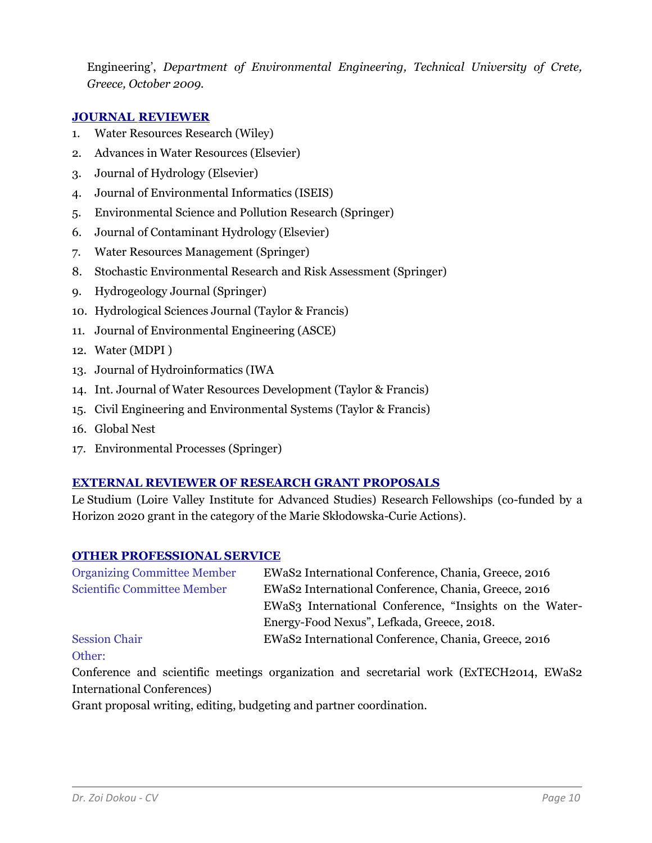Engineering', *Department of Environmental Engineering, Technical University of Crete, Greece, October 2009.*

## **JOURNAL REVIEWER**

- 1. Water Resources Research (Wiley)
- 2. Advances in Water Resources (Elsevier)
- 3. Journal of Hydrology (Elsevier)
- 4. Journal of Environmental Informatics (ISEIS)
- 5. Environmental Science and Pollution Research (Springer)
- 6. Journal of Contaminant Hydrology (Elsevier)
- 7. Water Resources Management (Springer)
- 8. Stochastic Environmental Research and Risk Assessment (Springer)
- 9. Hydrogeology Journal (Springer)
- 10. Hydrological Sciences Journal (Taylor & Francis)
- 11. Journal of Environmental Engineering (ASCE)
- 12. Water (MDPI )
- 13. Journal of Hydroinformatics (IWA
- 14. Int. Journal of Water Resources Development (Taylor & Francis)
- 15. Civil Engineering and Environmental Systems (Taylor & Francis)
- 16. Global Nest
- 17. Environmental Processes (Springer)

## **EXTERNAL REVIEWER OF RESEARCH GRANT PROPOSALS**

Le Studium (Loire Valley Institute for Advanced Studies) Research Fellowships (co-funded by a Horizon 2020 grant in the category of the Marie Skłodowska-Curie Actions).

#### **OTHER PROFESSIONAL SERVICE**

| EWaS2 International Conference, Chania, Greece, 2016    |
|---------------------------------------------------------|
| EWaS2 International Conference, Chania, Greece, 2016    |
| EWaS3 International Conference, "Insights on the Water- |
| Energy-Food Nexus", Lefkada, Greece, 2018.              |
| EWaS2 International Conference, Chania, Greece, 2016    |
|                                                         |

#### Other:

Conference and scientific meetings organization and secretarial work (ExTECH2014, EWaS2 International Conferences)

Grant proposal writing, editing, budgeting and partner coordination.